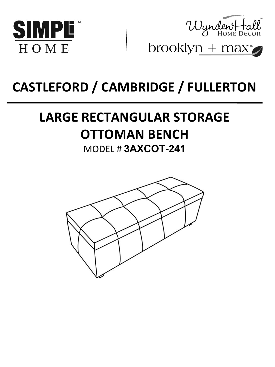



brooklyn +  $max^*$ 

# **CASTLEFORD / CAMBRIDGE / FULLERTON**

# **LARGE RECTANGULAR STORAGE OTTOMAN BENCH**

### MODEL # **3AXCOT-241**

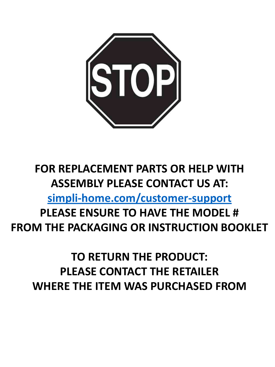

# **FOR REPLACEMENT PARTS OR HELP WITH ASSEMBLY PLEASE CONTACT US AT: [simpli-home.com/customer-support](http://simpli-home.com/customer-support) PLEASE ENSURE TO HAVE THE MODEL # FROM THE PACKAGING OR INSTRUCTION BOOKLET**

## **TO RETURN THE PRODUCT: PLEASE CONTACT THE RETAILER WHERE THE ITEM WAS PURCHASED FROM**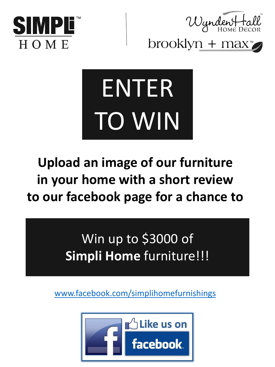



brooklyn +  $max^*$ 



# **Upload an image of our furniture in your home with a short review to our facebook page for a chance to**

Win up to \$3000 of **Simpli Home** furniture!!!

www.facebook.com/simplihomefurnishings

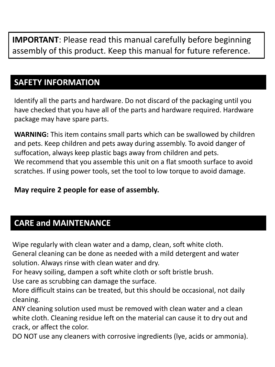**IMPORTANT**: Please read this manual carefully before beginning assembly of this product. Keep this manual for future reference.

#### **SAFETY INFORMATION**

Identify all the parts and hardware. Do not discard of the packaging until you have checked that you have all of the parts and hardware required. Hardware package may have spare parts.

**WARNING:** This item contains small parts which can be swallowed by children and pets. Keep children and pets away during assembly. To avoid danger of suffocation, always keep plastic bags away from children and pets. We recommend that you assemble this unit on a flat smooth surface to avoid scratches. If using power tools, set the tool to low torque to avoid damage.

#### **May require 2 people for ease of assembly.**

### **CARE and MAINTENANCE**

Wipe regularly with clean water and a damp, clean, soft white cloth.

General cleaning can be done as needed with a mild detergent and water solution. Always rinse with clean water and dry.

For heavy soiling, dampen a soft white cloth or soft bristle brush.

Use care as scrubbing can damage the surface.

More difficult stains can be treated, but this should be occasional, not daily cleaning.

ANY cleaning solution used must be removed with clean water and a clean white cloth. Cleaning residue left on the material can cause it to dry out and crack, or affect the color.

DO NOT use any cleaners with corrosive ingredients (lye, acids or ammonia).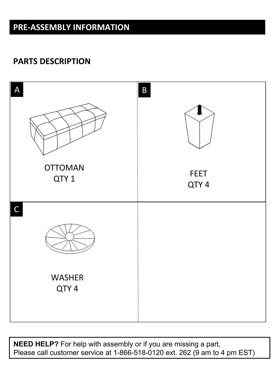### **PRE-ASSEMBLY INFORMATION**

#### **PARTS DESCRIPTION**



**NEED HELP?** For help with assembly or if you are missing a part, Please call customer service at 1-866-518-0120 ext. 262 (9 am to 4 pm EST)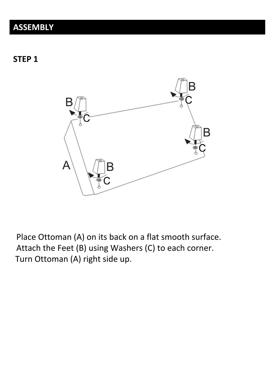### **ASSEMBLY**

**STEP 1**



Place Ottoman (A) on its back on a flat smooth surface. Attach the Feet (B) using Washers (C) to each corner. Turn Ottoman (A) right side up.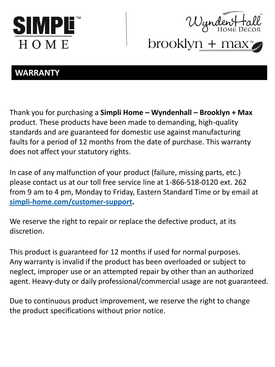



 $W$ yndent to<br>brooklyn + max

#### **WARRANTY**

Thank you for purchasing a **Simpli Home – Wyndenhall – Brooklyn + Max** product. These products have been made to demanding, high-quality standards and are guaranteed for domestic use against manufacturing faults for a period of 12 months from the date of purchase. This warranty does not affect your statutory rights.

In case of any malfunction of your product (failure, missing parts, etc.) please contact us at our toll free service line at 1-866-518-0120 ext. 262 from 9 am to 4 pm, Monday to Friday, Eastern Standard Time or by email at **[simpli-home.com/customer-support.](http://simpli-home.com/customer-support)**

We reserve the right to repair or replace the defective product, at its discretion.

This product is guaranteed for 12 months if used for normal purposes. Any warranty is invalid if the product has been overloaded or subject to neglect, improper use or an attempted repair by other than an authorized agent. Heavy-duty or daily professional/commercial usage are not guaranteed.

Due to continuous product improvement, we reserve the right to change the product specifications without prior notice.